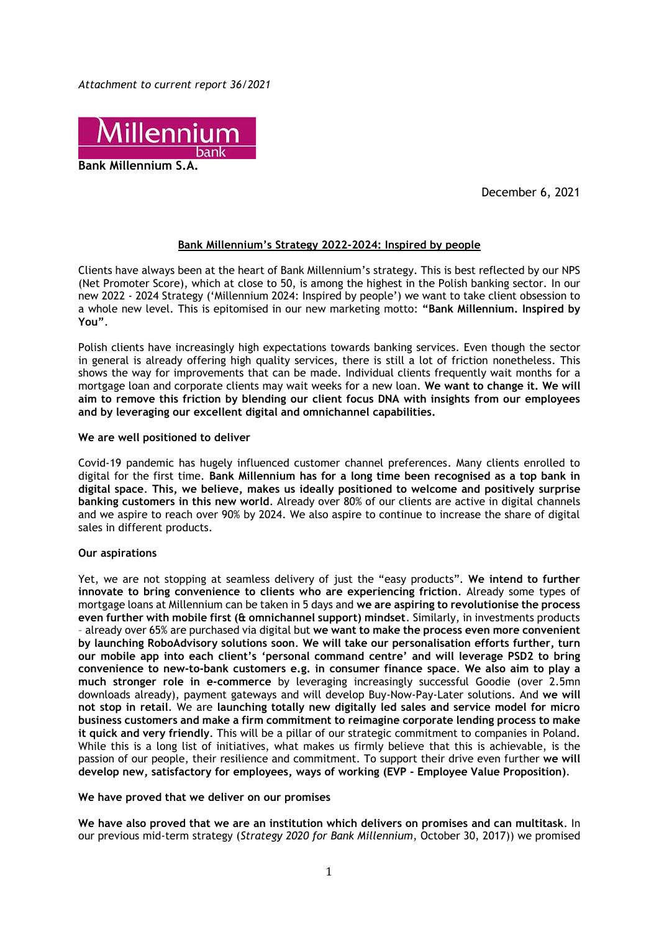*Attachment to current report 36/2021* 



**Bank Millennium S.A.**

December 6, 2021

# **Bank Millennium's Strategy 2022-2024: Inspired by people**

Clients have always been at the heart of Bank Millennium's strategy. This is best reflected by our NPS (Net Promoter Score), which at close to 50, is among the highest in the Polish banking sector. In our new 2022 - 2024 Strategy ('Millennium 2024: Inspired by people') we want to take client obsession to a whole new level. This is epitomised in our new marketing motto: **"Bank Millennium. Inspired by You"**.

Polish clients have increasingly high expectations towards banking services. Even though the sector in general is already offering high quality services, there is still a lot of friction nonetheless. This shows the way for improvements that can be made. Individual clients frequently wait months for a mortgage loan and corporate clients may wait weeks for a new loan. **We want to change it. We will aim to remove this friction by blending our client focus DNA with insights from our employees and by leveraging our excellent digital and omnichannel capabilities.** 

# **We are well positioned to deliver**

Covid-19 pandemic has hugely influenced customer channel preferences. Many clients enrolled to digital for the first time. **Bank Millennium has for a long time been recognised as a top bank in digital space**. **This, we believe, makes us ideally positioned to welcome and positively surprise banking customers in this new world**. Already over 80% of our clients are active in digital channels and we aspire to reach over 90% by 2024. We also aspire to continue to increase the share of digital sales in different products.

# **Our aspirations**

Yet, we are not stopping at seamless delivery of just the "easy products". **We intend to further innovate to bring convenience to clients who are experiencing friction**. Already some types of mortgage loans at Millennium can be taken in 5 days and **we are aspiring to revolutionise the process even further with mobile first (& omnichannel support) mindset**. Similarly, in investments products – already over 65% are purchased via digital but **we want to make the process even more convenient by launching RoboAdvisory solutions soon**. **We will take our personalisation efforts further, turn our mobile app into each client's 'personal command centre' and will leverage PSD2 to bring convenience to new-to-bank customers e.g. in consumer finance space**. **We also aim to play a much stronger role in e-commerce** by leveraging increasingly successful Goodie (over 2.5mn downloads already), payment gateways and will develop Buy-Now-Pay-Later solutions. And **we will not stop in retail**. We are **launching totally new digitally led sales and service model for micro business customers and make a firm commitment to reimagine corporate lending process to make it quick and very friendly**. This will be a pillar of our strategic commitment to companies in Poland. While this is a long list of initiatives, what makes us firmly believe that this is achievable, is the passion of our people, their resilience and commitment. To support their drive even further **we will develop new, satisfactory for employees, ways of working (EVP - Employee Value Proposition)**.

# **We have proved that we deliver on our promises**

**We have also proved that we are an institution which delivers on promises and can multitask**. In our previous mid-term strategy (*Strategy 2020 for Bank Millennium*, October 30, 2017)) we promised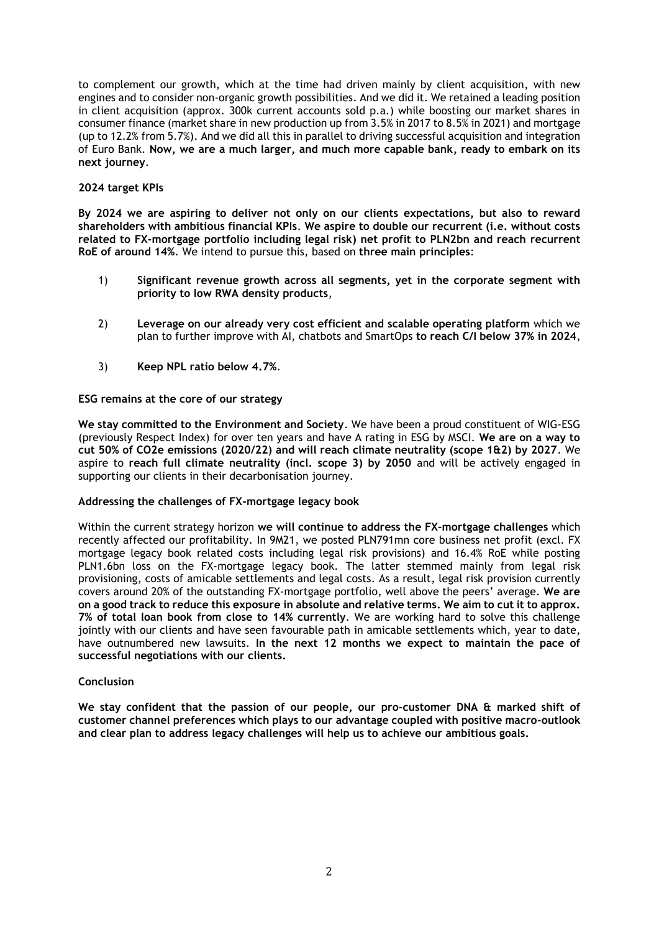to complement our growth, which at the time had driven mainly by client acquisition, with new engines and to consider non-organic growth possibilities. And we did it. We retained a leading position in client acquisition (approx. 300k current accounts sold p.a.) while boosting our market shares in consumer finance (market share in new production up from 3.5% in 2017 to 8.5% in 2021) and mortgage (up to 12.2% from 5.7%). And we did all this in parallel to driving successful acquisition and integration of Euro Bank. **Now, we are a much larger, and much more capable bank, ready to embark on its next journey**.

# **2024 target KPIs**

**By 2024 we are aspiring to deliver not only on our clients expectations, but also to reward shareholders with ambitious financial KPIs**. **We aspire to double our recurrent (i.e. without costs related to FX-mortgage portfolio including legal risk) net profit to PLN2bn and reach recurrent RoE of around 14%**. We intend to pursue this, based on **three main principles**:

- 1) **Significant revenue growth across all segments, yet in the corporate segment with priority to low RWA density products**,
- 2) **Leverage on our already very cost efficient and scalable operating platform** which we plan to further improve with AI, chatbots and SmartOps **to reach C/I below 37% in 2024**,
- 3) **Keep NPL ratio below 4.7%**.

**ESG remains at the core of our strategy**

**We stay committed to the Environment and Society**. We have been a proud constituent of WIG-ESG (previously Respect Index) for over ten years and have A rating in ESG by MSCI. **We are on a way to cut 50% of CO2e emissions (2020/22) and will reach climate neutrality (scope 1&2) by 2027**. We aspire to **reach full climate neutrality (incl. scope 3) by 2050** and will be actively engaged in supporting our clients in their decarbonisation journey.

# **Addressing the challenges of FX-mortgage legacy book**

Within the current strategy horizon **we will continue to address the FX-mortgage challenges** which recently affected our profitability. In 9M21, we posted PLN791mn core business net profit (excl. FX mortgage legacy book related costs including legal risk provisions) and 16.4% RoE while posting PLN1.6bn loss on the FX-mortgage legacy book. The latter stemmed mainly from legal risk provisioning, costs of amicable settlements and legal costs. As a result, legal risk provision currently covers around 20% of the outstanding FX-mortgage portfolio, well above the peers' average. **We are on a good track to reduce this exposure in absolute and relative terms. We aim to cut it to approx. 7% of total loan book from close to 14% currently**. We are working hard to solve this challenge jointly with our clients and have seen favourable path in amicable settlements which, year to date, have outnumbered new lawsuits. **In the next 12 months we expect to maintain the pace of successful negotiations with our clients.**

# **Conclusion**

**We stay confident that the passion of our people, our pro-customer DNA & marked shift of customer channel preferences which plays to our advantage coupled with positive macro-outlook and clear plan to address legacy challenges will help us to achieve our ambitious goals.**